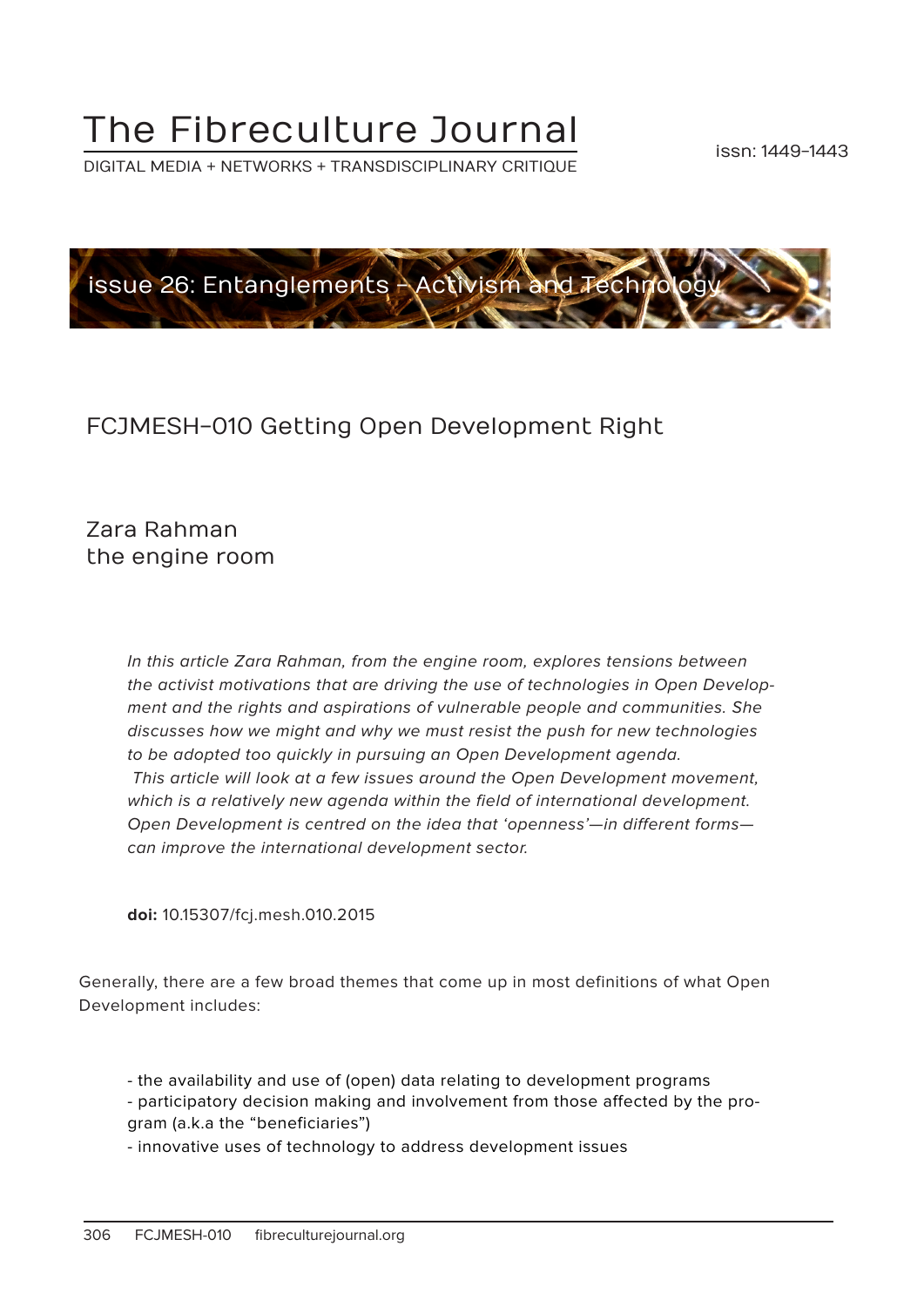# The Fibreculture Journal

DIGITAL MEDIA + NETWORKS + TRANSDISCIPLINARY CRITIQUE



# FCJMESH-010 Getting Open Development Right

Zara Rahman the engine room

> In this article Zara Rahman, from the engine room, explores tensions between the activist motivations that are driving the use of technologies in Open Development and the rights and aspirations of vulnerable people and communities. She discusses how we might and why we must resist the push for new technologies to be adopted too quickly in pursuing an Open Development agenda. This article will look at a few issues around the Open Development movement, which is a relatively new agenda within the field of international development. Open Development is centred on the idea that 'openness'—in different forms can improve the international development sector.

**doi:** 10.15307/fcj.mesh.010.2015

Generally, there are a few broad themes that come up in most definitions of what Open Development includes:

- the availability and use of (open) data relating to development programs
- participatory decision making and involvement from those affected by the program (a.k.a the "beneficiaries")
- innovative uses of technology to address development issues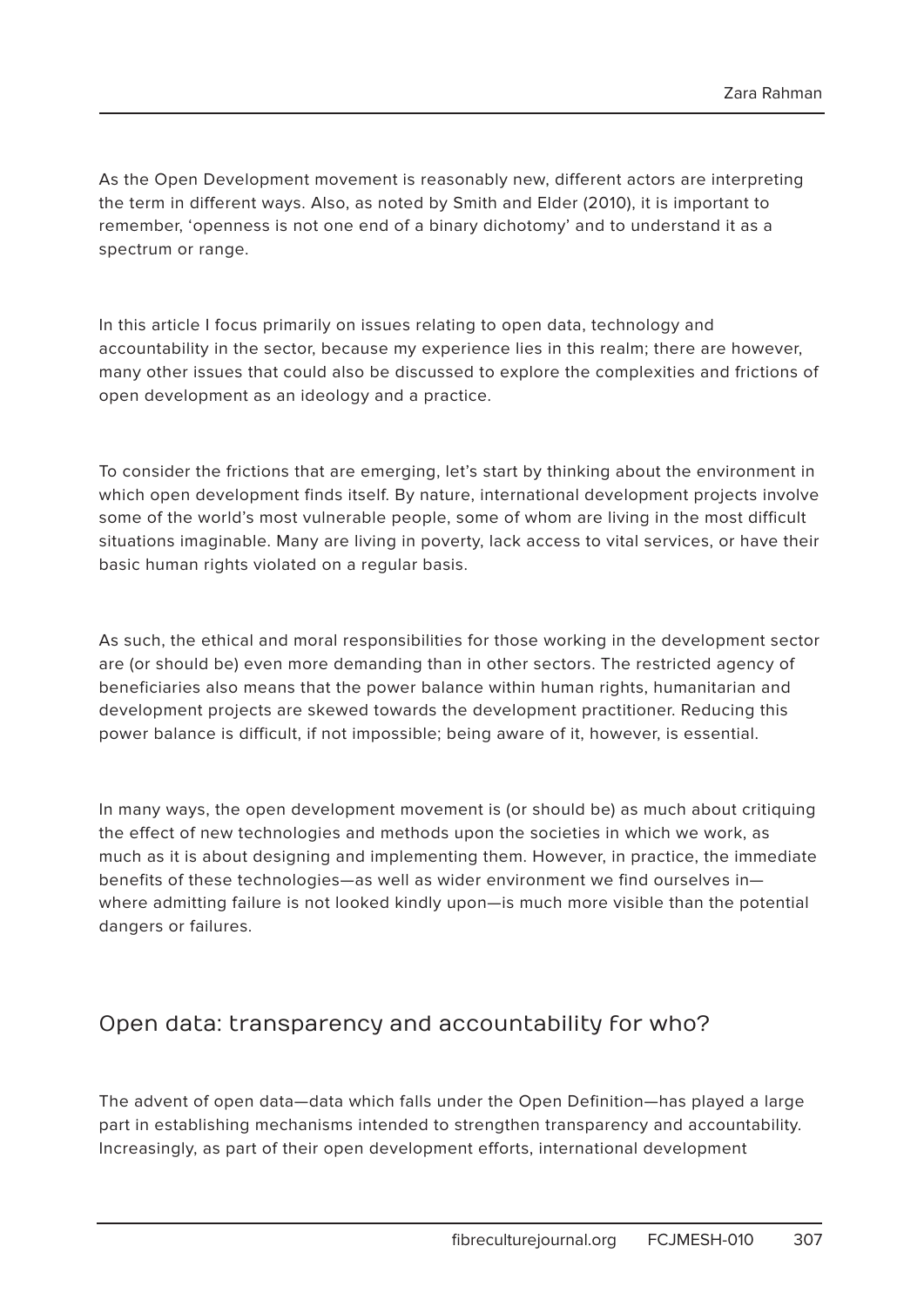As the Open Development movement is reasonably new, different actors are interpreting the term in different ways. Also, as noted by Smith and Elder (2010), it is important to remember, 'openness is not one end of a binary dichotomy' and to understand it as a spectrum or range.

In this article I focus primarily on issues relating to open data, technology and accountability in the sector, because my experience lies in this realm; there are however, many other issues that could also be discussed to explore the complexities and frictions of open development as an ideology and a practice.

To consider the frictions that are emerging, let's start by thinking about the environment in which open development finds itself. By nature, international development projects involve some of the world's most vulnerable people, some of whom are living in the most difficult situations imaginable. Many are living in poverty, lack access to vital services, or have their basic human rights violated on a regular basis.

As such, the ethical and moral responsibilities for those working in the development sector are (or should be) even more demanding than in other sectors. The restricted agency of beneficiaries also means that the power balance within human rights, humanitarian and development projects are skewed towards the development practitioner. Reducing this power balance is difficult, if not impossible; being aware of it, however, is essential.

In many ways, the open development movement is (or should be) as much about critiquing the effect of new technologies and methods upon the societies in which we work, as much as it is about designing and implementing them. However, in practice, the immediate benefits of these technologies—as well as wider environment we find ourselves in where admitting failure is not looked kindly upon—is much more visible than the potential dangers or failures.

## Open data: transparency and accountability for who?

The advent of open data—data which falls under the Open Definition—has played a large part in establishing mechanisms intended to strengthen transparency and accountability. Increasingly, as part of their open development efforts, international development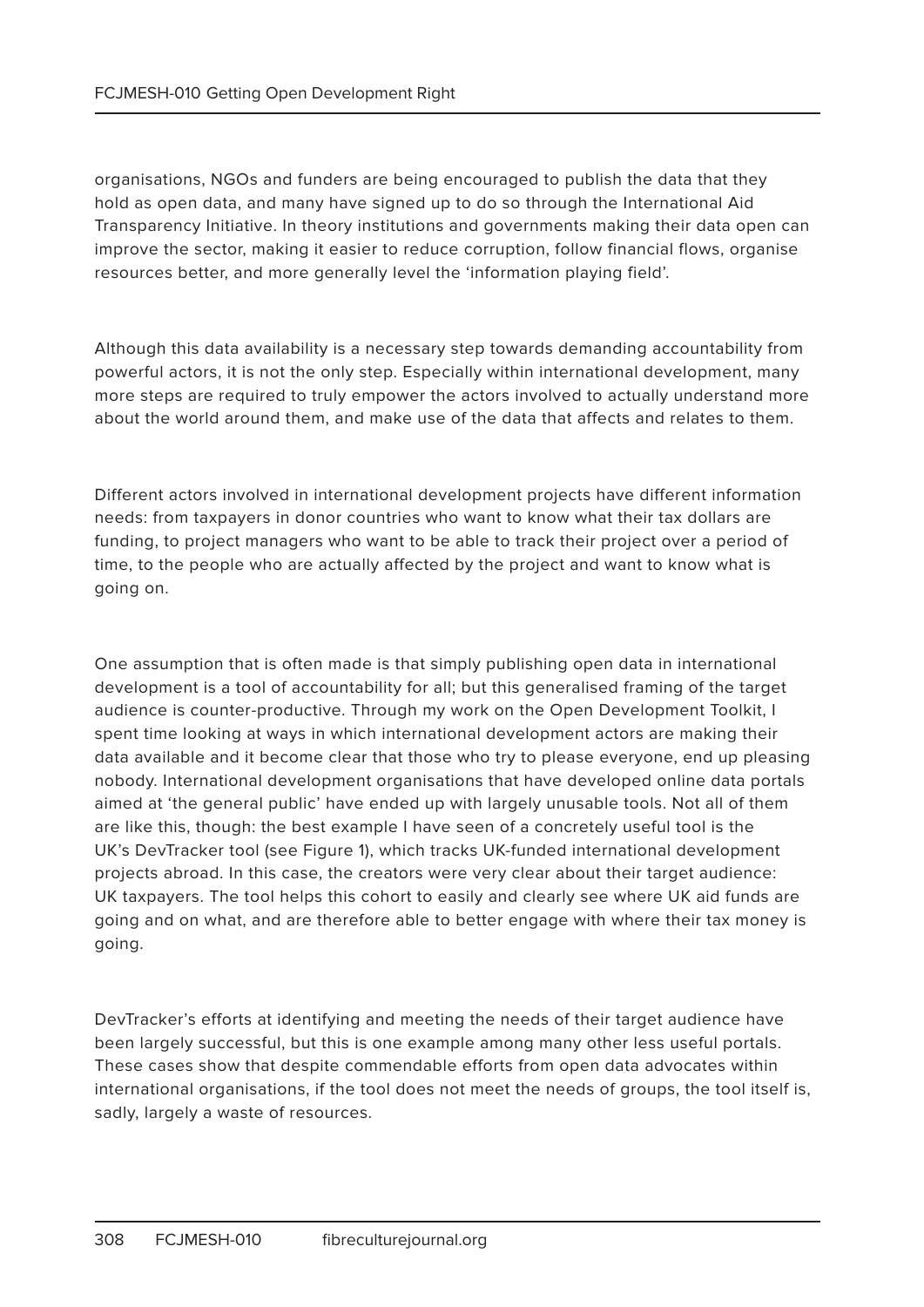organisations, NGOs and funders are being encouraged to publish the data that they hold as open data, and many have signed up to do so through the International Aid Transparency Initiative. In theory institutions and governments making their data open can improve the sector, making it easier to reduce corruption, follow financial flows, organise resources better, and more generally level the 'information playing field'.

Although this data availability is a necessary step towards demanding accountability from powerful actors, it is not the only step. Especially within international development, many more steps are required to truly empower the actors involved to actually understand more about the world around them, and make use of the data that affects and relates to them.

Different actors involved in international development projects have different information needs: from taxpayers in donor countries who want to know what their tax dollars are funding, to project managers who want to be able to track their project over a period of time, to the people who are actually affected by the project and want to know what is going on.

One assumption that is often made is that simply publishing open data in international development is a tool of accountability for all; but this generalised framing of the target audience is counter-productive. Through my work on the Open Development Toolkit, I spent time looking at ways in which international development actors are making their data available and it become clear that those who try to please everyone, end up pleasing nobody. International development organisations that have developed online data portals aimed at 'the general public' have ended up with largely unusable tools. Not all of them are like this, though: the best example I have seen of a concretely useful tool is the UK's DevTracker tool (see Figure 1), which tracks UK-funded international development projects abroad. In this case, the creators were very clear about their target audience: UK taxpayers. The tool helps this cohort to easily and clearly see where UK aid funds are going and on what, and are therefore able to better engage with where their tax money is going.

DevTracker's efforts at identifying and meeting the needs of their target audience have been largely successful, but this is one example among many other less useful portals. These cases show that despite commendable efforts from open data advocates within international organisations, if the tool does not meet the needs of groups, the tool itself is, sadly, largely a waste of resources.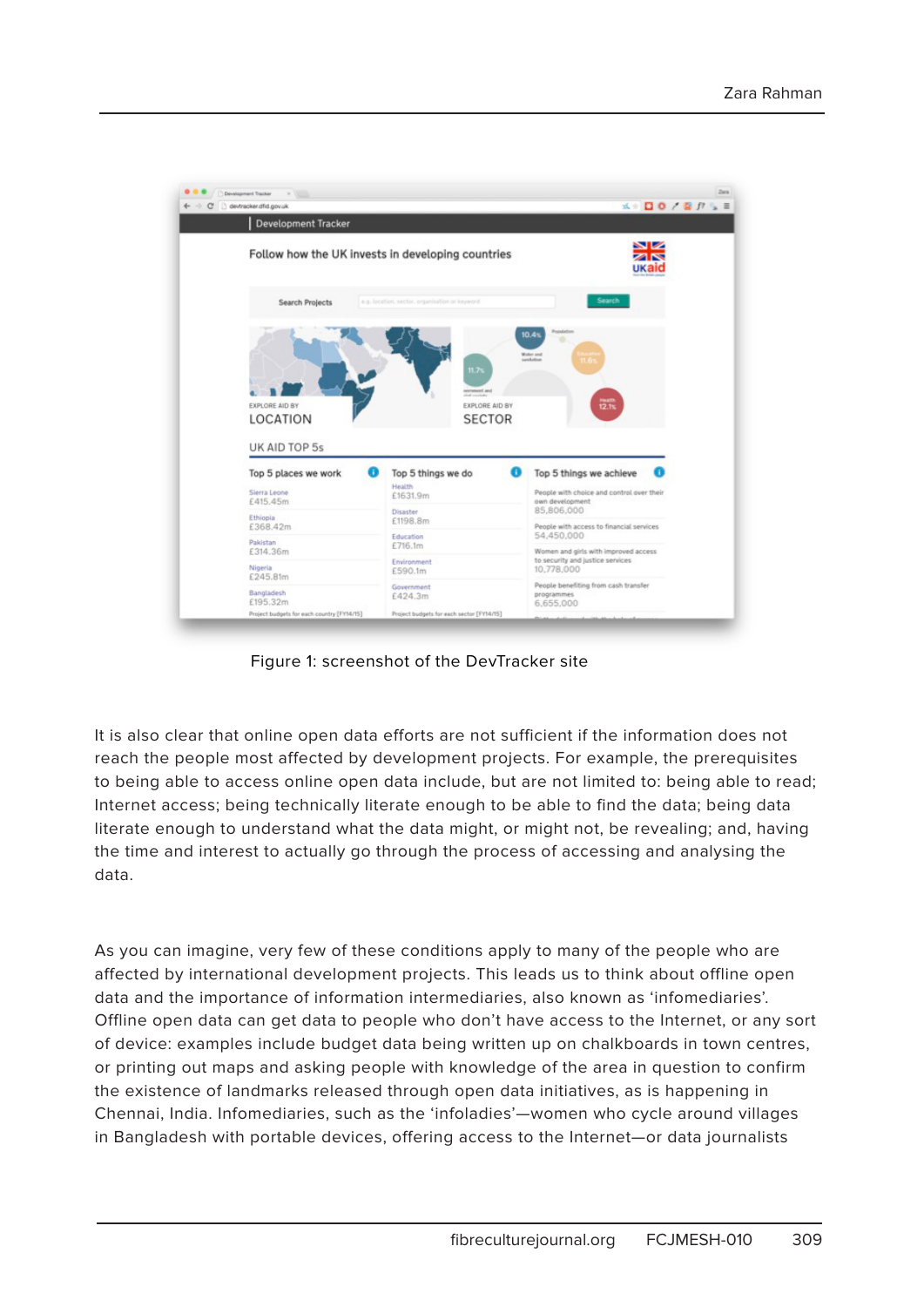

Figure 1: screenshot of the DevTracker site

It is also clear that online open data efforts are not sufficient if the information does not reach the people most affected by development projects. For example, the prerequisites to being able to access online open data include, but are not limited to: being able to read; Internet access; being technically literate enough to be able to find the data; being data literate enough to understand what the data might, or might not, be revealing; and, having the time and interest to actually go through the process of accessing and analysing the data.

As you can imagine, very few of these conditions apply to many of the people who are affected by international development projects. This leads us to think about offline open data and the importance of information intermediaries, also known as 'infomediaries'. Offline open data can get data to people who don't have access to the Internet, or any sort of device: examples include budget data being written up on chalkboards in town centres, or printing out maps and asking people with knowledge of the area in question to confirm the existence of landmarks released through open data initiatives, as is happening in Chennai, India. Infomediaries, such as the 'infoladies'—women who cycle around villages in Bangladesh with portable devices, offering access to the Internet—or data journalists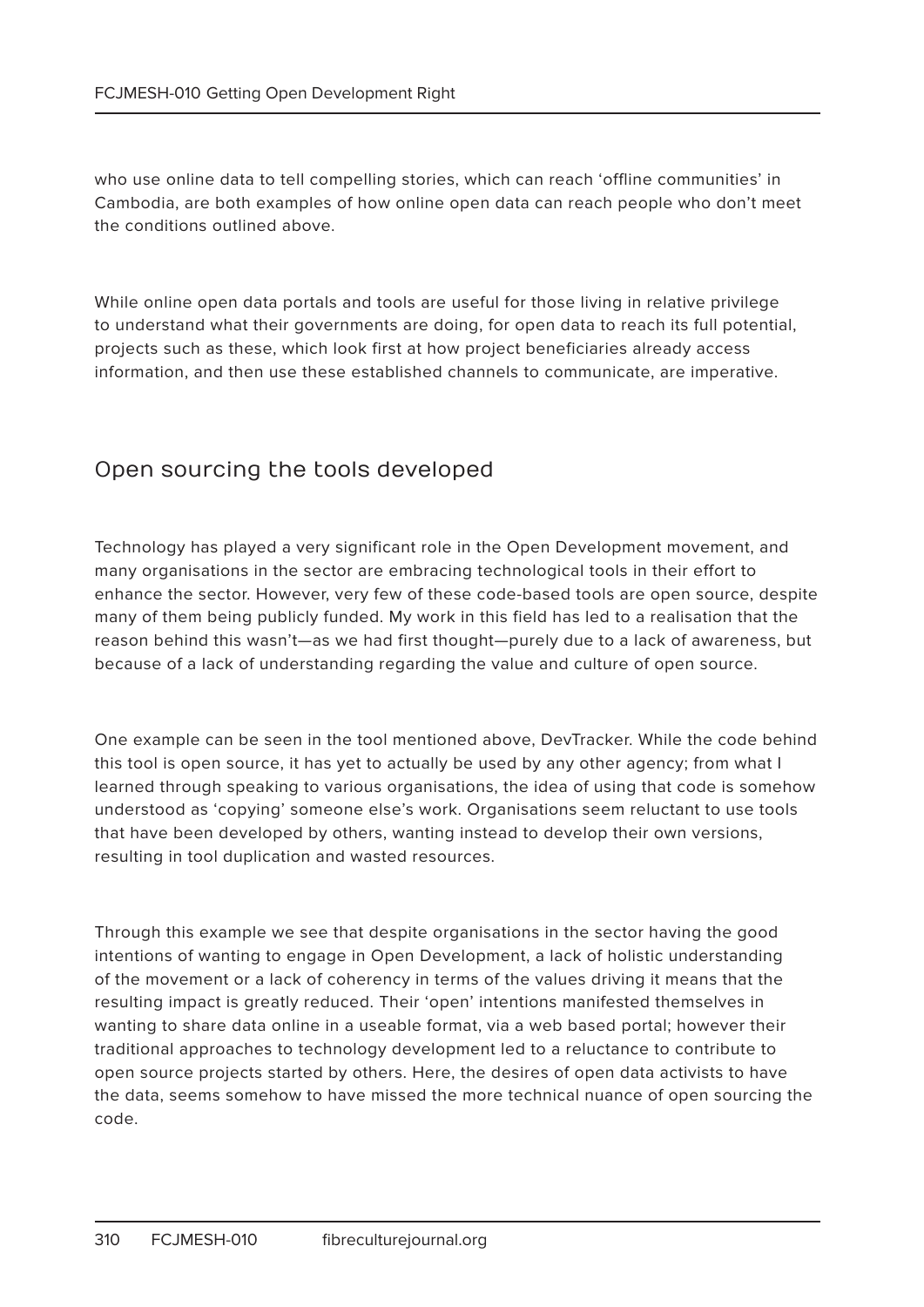who use online data to tell compelling stories, which can reach 'offline communities' in Cambodia, are both examples of how online open data can reach people who don't meet the conditions outlined above.

While online open data portals and tools are useful for those living in relative privilege to understand what their governments are doing, for open data to reach its full potential, projects such as these, which look first at how project beneficiaries already access information, and then use these established channels to communicate, are imperative.

## Open sourcing the tools developed

Technology has played a very significant role in the Open Development movement, and many organisations in the sector are embracing technological tools in their effort to enhance the sector. However, very few of these code-based tools are open source, despite many of them being publicly funded. My work in this field has led to a realisation that the reason behind this wasn't—as we had first thought—purely due to a lack of awareness, but because of a lack of understanding regarding the value and culture of open source.

One example can be seen in the tool mentioned above, DevTracker. While the code behind this tool is open source, it has yet to actually be used by any other agency; from what I learned through speaking to various organisations, the idea of using that code is somehow understood as 'copying' someone else's work. Organisations seem reluctant to use tools that have been developed by others, wanting instead to develop their own versions, resulting in tool duplication and wasted resources.

Through this example we see that despite organisations in the sector having the good intentions of wanting to engage in Open Development, a lack of holistic understanding of the movement or a lack of coherency in terms of the values driving it means that the resulting impact is greatly reduced. Their 'open' intentions manifested themselves in wanting to share data online in a useable format, via a web based portal; however their traditional approaches to technology development led to a reluctance to contribute to open source projects started by others. Here, the desires of open data activists to have the data, seems somehow to have missed the more technical nuance of open sourcing the code.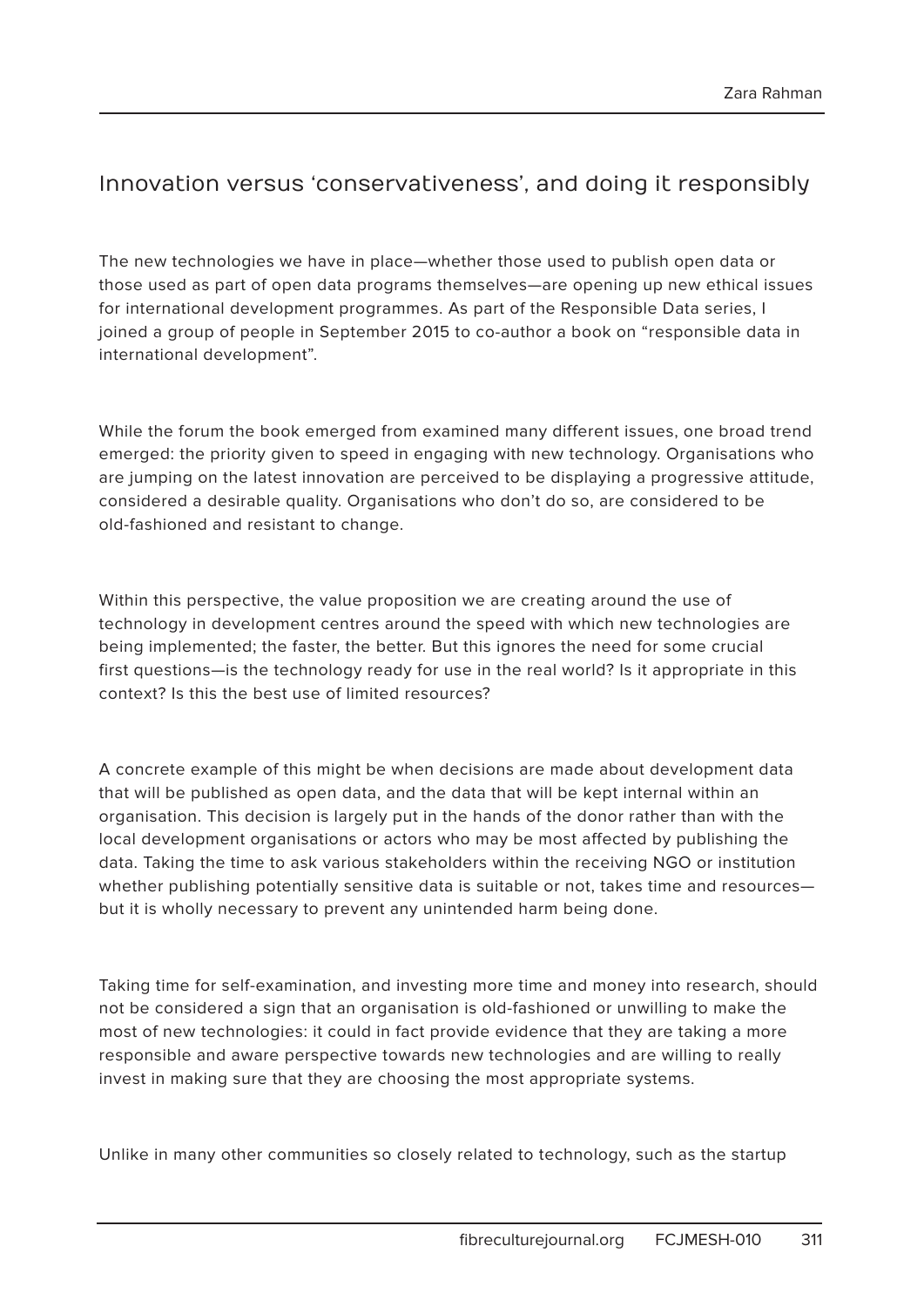## Innovation versus 'conservativeness', and doing it responsibly

The new technologies we have in place—whether those used to publish open data or those used as part of open data programs themselves—are opening up new ethical issues for international development programmes. As part of the Responsible Data series, I joined a group of people in September 2015 to co-author a book on "responsible data in international development".

While the forum the book emerged from examined many different issues, one broad trend emerged: the priority given to speed in engaging with new technology. Organisations who are jumping on the latest innovation are perceived to be displaying a progressive attitude, considered a desirable quality. Organisations who don't do so, are considered to be old-fashioned and resistant to change.

Within this perspective, the value proposition we are creating around the use of technology in development centres around the speed with which new technologies are being implemented; the faster, the better. But this ignores the need for some crucial first questions—is the technology ready for use in the real world? Is it appropriate in this context? Is this the best use of limited resources?

A concrete example of this might be when decisions are made about development data that will be published as open data, and the data that will be kept internal within an organisation. This decision is largely put in the hands of the donor rather than with the local development organisations or actors who may be most affected by publishing the data. Taking the time to ask various stakeholders within the receiving NGO or institution whether publishing potentially sensitive data is suitable or not, takes time and resources but it is wholly necessary to prevent any unintended harm being done.

Taking time for self-examination, and investing more time and money into research, should not be considered a sign that an organisation is old-fashioned or unwilling to make the most of new technologies: it could in fact provide evidence that they are taking a more responsible and aware perspective towards new technologies and are willing to really invest in making sure that they are choosing the most appropriate systems.

Unlike in many other communities so closely related to technology, such as the startup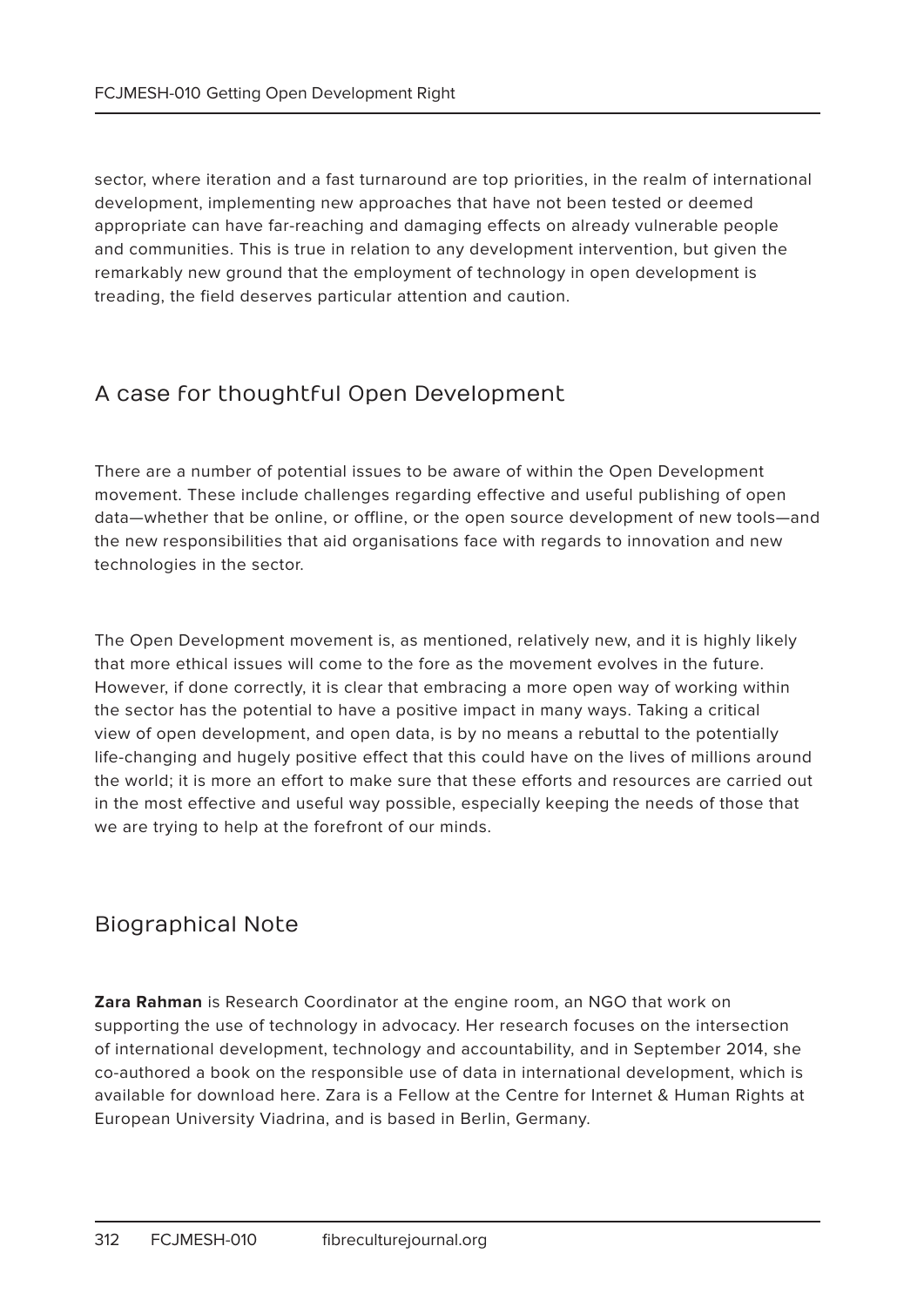sector, where iteration and a fast turnaround are top priorities, in the realm of international development, implementing new approaches that have not been tested or deemed appropriate can have far-reaching and damaging effects on already vulnerable people and communities. This is true in relation to any development intervention, but given the remarkably new ground that the employment of technology in open development is treading, the field deserves particular attention and caution.

# A case for thoughtful Open Development

There are a number of potential issues to be aware of within the Open Development movement. These include challenges regarding effective and useful publishing of open data—whether that be online, or offline, or the open source development of new tools—and the new responsibilities that aid organisations face with regards to innovation and new technologies in the sector.

The Open Development movement is, as mentioned, relatively new, and it is highly likely that more ethical issues will come to the fore as the movement evolves in the future. However, if done correctly, it is clear that embracing a more open way of working within the sector has the potential to have a positive impact in many ways. Taking a critical view of open development, and open data, is by no means a rebuttal to the potentially life-changing and hugely positive effect that this could have on the lives of millions around the world; it is more an effort to make sure that these efforts and resources are carried out in the most effective and useful way possible, especially keeping the needs of those that we are trying to help at the forefront of our minds.

## Biographical Note

**Zara Rahman** is Research Coordinator at the engine room, an NGO that work on supporting the use of technology in advocacy. Her research focuses on the intersection of international development, technology and accountability, and in September 2014, she co-authored a book on the responsible use of data in international development, which is available for download here. Zara is a Fellow at the Centre for Internet & Human Rights at European University Viadrina, and is based in Berlin, Germany.